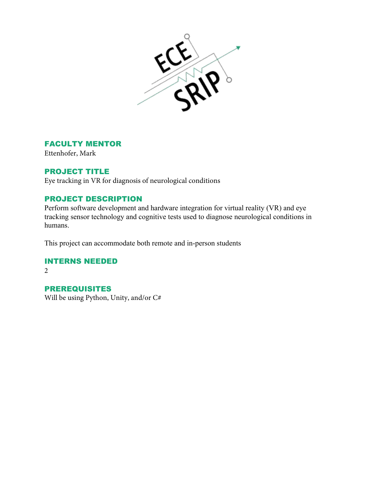

#### FACULTY MENTOR

Ettenhofer, Mark

#### PROJECT TITLE

Eye tracking in VR for diagnosis of neurological conditions

# PROJECT DESCRIPTION

Perform software development and hardware integration for virtual reality (VR) and eye tracking sensor technology and cognitive tests used to diagnose neurological conditions in humans.

This project can accommodate both remote and in-person students

# INTERNS NEEDED

 $2<sup>1</sup>$ 

#### PREREQUISITES

Will be using Python, Unity, and/or C#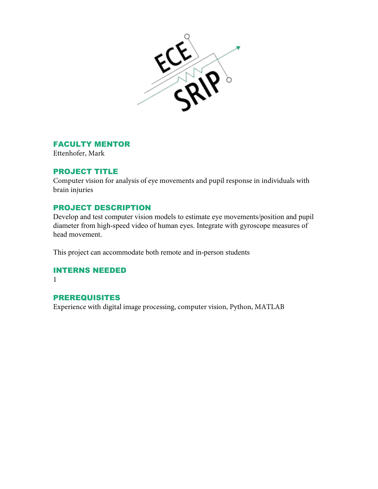

#### FACULTY MENTOR

Ettenhofer, Mark

## PROJECT TITLE

Computer vision for analysis of eye movements and pupil response in individuals with brain injuries

## PROJECT DESCRIPTION

Develop and test computer vision models to estimate eye movements/position and pupil diameter from high-speed video of human eyes. Integrate with gyroscope measures of head movement.

This project can accommodate both remote and in-person students

#### INTERNS NEEDED

1

## PREREQUISITES

Experience with digital image processing, computer vision, Python, MATLAB